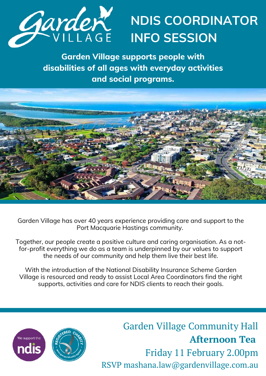

## **NDIS COORDINATOR INFO SESSION**

**Garden Village supports people with disabilities of all ages with everyday activities and social programs.**



Garden Village has over 40 years experience providing care and support to the Port Macquarie Hastings community.

Together, our people create a positive culture and caring organisation. As a notfor-profit everything we do as a team is underpinned by our values to support the needs of our community and help them live their best life.

With the introduction of the National Disability Insurance Scheme Garden Village is resourced and ready to assist Local Area Coordinators find the right supports, activities and care for NDIS clients to reach their goals.



Garden Village Community Hall **Afternoon Tea** Friday 11 February 2.00pm RSVP mashana.law@gardenvillage.com.au